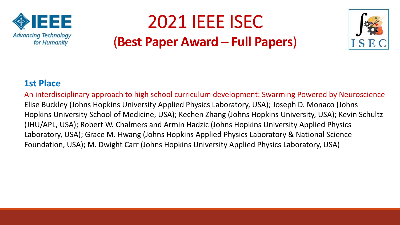

## 2021 IEEE ISEC (**Best Paper Award** – **Full Papers**)



#### **1st Place**

An interdisciplinary approach to high school curriculum development: Swarming Powered by Neuroscience Elise Buckley (Johns Hopkins University Applied Physics Laboratory, USA); Joseph D. Monaco (Johns Hopkins University School of Medicine, USA); Kechen Zhang (Johns Hopkins University, USA); Kevin Schultz (JHU/APL, USA); Robert W. Chalmers and Armin Hadzic (Johns Hopkins University Applied Physics Laboratory, USA); Grace M. Hwang (Johns Hopkins Applied Physics Laboratory & National Science Foundation, USA); M. Dwight Carr (Johns Hopkins University Applied Physics Laboratory, USA)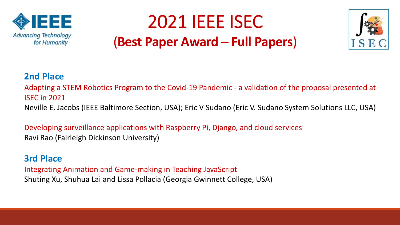

# 2021 IEEE ISEC (**Best Paper Award** – **Full Papers**)



## **2nd Place**

Adapting a STEM Robotics Program to the Covid-19 Pandemic - a validation of the proposal presented at ISEC in 2021

Neville E. Jacobs (IEEE Baltimore Section, USA); Eric V Sudano (Eric V. Sudano System Solutions LLC, USA)

Developing surveillance applications with Raspberry Pi, Django, and cloud services Ravi Rao (Fairleigh Dickinson University)

#### **3rd Place**

Integrating Animation and Game-making in Teaching JavaScript Shuting Xu, Shuhua Lai and Lissa Pollacia (Georgia Gwinnett College, USA)